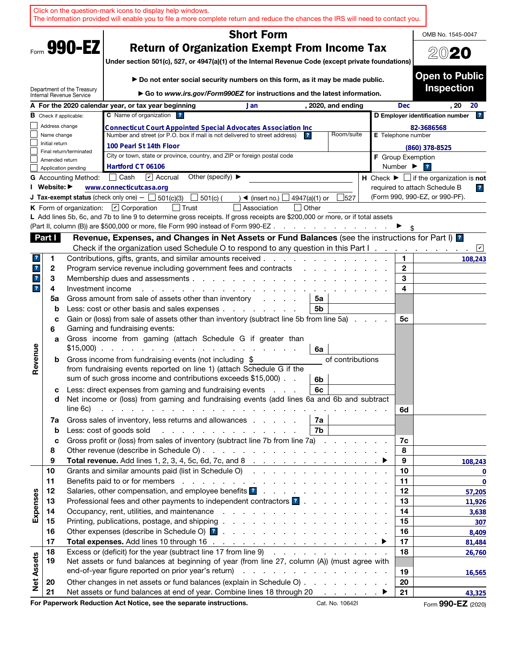| <b>Short Form</b>                                                                                                                                                                                                                                                                                                                           | OMB No. 1545-0047                          |
|---------------------------------------------------------------------------------------------------------------------------------------------------------------------------------------------------------------------------------------------------------------------------------------------------------------------------------------------|--------------------------------------------|
| Form 990-EZ<br><b>Return of Organization Exempt From Income Tax</b><br>Under section 501(c), 527, or 4947(a)(1) of the Internal Revenue Code (except private foundations)                                                                                                                                                                   | 2020                                       |
| ► Do not enter social security numbers on this form, as it may be made public.<br>Department of the Treasury                                                                                                                                                                                                                                | <b>Open to Public</b><br><b>Inspection</b> |
| ► Go to www.irs.gov/Form990EZ for instructions and the latest information.<br>Internal Revenue Service<br>A For the 2020 calendar year, or tax year beginning<br><b>Dec</b>                                                                                                                                                                 | . 20<br>20                                 |
| , 2020, and ending<br>Jan<br>C Name of organization ?<br>D Employer identification number<br><b>B</b> Check if applicable:                                                                                                                                                                                                                  | $\mathbf{r}$                               |
| Address change<br>82-3686568<br><b>Connecticut Court Appointed Special Advocates Association Inc</b>                                                                                                                                                                                                                                        |                                            |
| Number and street (or P.O. box if mail is not delivered to street address)<br>Room/suite<br>Name change<br>E Telephone number<br>$\mathbf{r}$                                                                                                                                                                                               |                                            |
| Initial return<br>100 Pearl St 14th Floor<br>$(860)$ 378-8525                                                                                                                                                                                                                                                                               |                                            |
| Final return/terminated<br>City or town, state or province, country, and ZIP or foreign postal code<br><b>F</b> Group Exemption<br>Amended return                                                                                                                                                                                           |                                            |
| Hartford CT 06106<br>Number $\blacktriangleright$<br>$\overline{ }$<br>Application pending                                                                                                                                                                                                                                                  |                                            |
| $\triangleright$ Accrual<br>Other (specify) $\blacktriangleright$<br>Cash<br>H Check $\blacktriangleright \Box$ if the organization is not<br><b>G</b> Accounting Method:                                                                                                                                                                   |                                            |
| I Website: ▶<br>required to attach Schedule B<br>www.connecticutcasa.org                                                                                                                                                                                                                                                                    | $\overline{r}$                             |
| (Form 990, 990-EZ, or 990-PF).<br><b>J Tax-exempt status</b> (check only one) - $\Box$ 501(c)(3)<br>501(c) (<br>527<br>$\triangleleft$ (insert no.)<br>4947(a)(1) or                                                                                                                                                                        |                                            |
| K Form of organization: $\Box$ Corporation<br>Association<br>  Other<br>L Add lines 5b, 6c, and 7b to line 9 to determine gross receipts. If gross receipts are \$200,000 or more, or if total assets                                                                                                                                       |                                            |
| (Part II, column (B)) are \$500,000 or more, file Form 990 instead of Form 990-EZ.<br>and a series of the contract of the                                                                                                                                                                                                                   |                                            |
| Revenue, Expenses, and Changes in Net Assets or Fund Balances (see the instructions for Part I) <b>1</b><br>Part I                                                                                                                                                                                                                          |                                            |
| Check if the organization used Schedule O to respond to any question in this Part I.                                                                                                                                                                                                                                                        | ⊻                                          |
| Contributions, gifts, grants, and similar amounts received.<br>1.<br>1<br>?                                                                                                                                                                                                                                                                 | 108,243                                    |
| $\mathbf{2}$<br>$\mathbf{r}$<br>2<br>Program service revenue including government fees and contracts                                                                                                                                                                                                                                        |                                            |
| 3<br>3<br>$\mathbf{r}$<br>Membership dues and assessments.<br>the second contract of the second contract of the second contract of the second contract of the second contract of the second contract of the second contract of the second contract of the second contract of the second cont<br>4<br>$\mathbf{r}$<br>4<br>Investment income |                                            |
| Gross amount from sale of assets other than inventory<br>5a<br>5a<br>and a state                                                                                                                                                                                                                                                            |                                            |
| Less: cost or other basis and sales expenses<br>5b<br>b                                                                                                                                                                                                                                                                                     |                                            |
| Gain or (loss) from sale of assets other than inventory (subtract line 5b from line 5a)<br>5с<br>c<br>Gaming and fundraising events:<br>6                                                                                                                                                                                                   |                                            |
| Gross income from gaming (attach Schedule G if greater than<br>a<br>$$15,000$<br>6a                                                                                                                                                                                                                                                         |                                            |
| Revenue<br>Gross income from fundraising events (not including \$<br>of contributions<br>b<br>from fundraising events reported on line 1) (attach Schedule G if the<br>sum of such gross income and contributions exceeds \$15,000).<br>6b                                                                                                  |                                            |
| Less: direct expenses from gaming and fundraising events<br>6с<br>с<br>Net income or (loss) from gaming and fundraising events (add lines 6a and 6b and subtract<br>d                                                                                                                                                                       |                                            |
| line 6c)<br>and the company of the company of the company of the company of the company of the company of the company of the company of the company of the company of the company of the company of the company of the company of the comp<br>6d                                                                                            |                                            |
| Gross sales of inventory, less returns and allowances<br>7a  <br>7a                                                                                                                                                                                                                                                                         |                                            |
| Less: cost of goods sold<br>7b<br>.<br>$\mathbf b$                                                                                                                                                                                                                                                                                          |                                            |
| Gross profit or (loss) from sales of inventory (subtract line 7b from line 7a)<br>7c<br>c                                                                                                                                                                                                                                                   |                                            |
| 8<br>8                                                                                                                                                                                                                                                                                                                                      |                                            |
| Total revenue. Add lines 1, 2, 3, 4, 5c, 6d, 7c, and 8 $\ldots$ $\ldots$ $\ldots$ $\ldots$ $\ldots$ $\ldots$<br>9<br>9<br>Grants and similar amounts paid (list in Schedule O)<br>10<br>10                                                                                                                                                  | 108,243                                    |
| 11<br>11                                                                                                                                                                                                                                                                                                                                    | 0<br>$\bf{0}$                              |
| 12<br>12                                                                                                                                                                                                                                                                                                                                    | 57,205                                     |
| Expenses<br>Professional fees and other payments to independent contractors ?<br>13<br>13                                                                                                                                                                                                                                                   | 11,926                                     |
| 14<br>14                                                                                                                                                                                                                                                                                                                                    | 3,638                                      |
| 15<br>15                                                                                                                                                                                                                                                                                                                                    | 307                                        |
| 16<br>16                                                                                                                                                                                                                                                                                                                                    | 8,409                                      |
| 17<br>17                                                                                                                                                                                                                                                                                                                                    | 81,484                                     |
| Excess or (deficit) for the year (subtract line 17 from line 9)<br>18<br>18                                                                                                                                                                                                                                                                 | 26,760                                     |
| <b>Net Assets</b><br>19<br>Net assets or fund balances at beginning of year (from line 27, column (A)) (must agree with                                                                                                                                                                                                                     |                                            |
| 19<br>Other changes in net assets or fund balances (explain in Schedule O)<br>20<br>20                                                                                                                                                                                                                                                      | 16,565                                     |
| 21<br>Net assets or fund balances at end of year. Combine lines 18 through 20<br>21                                                                                                                                                                                                                                                         | 43,325                                     |
| For Paperwork Reduction Act Notice, see the separate instructions.<br>Cat. No. 10642I                                                                                                                                                                                                                                                       | Form 990-EZ (2020)                         |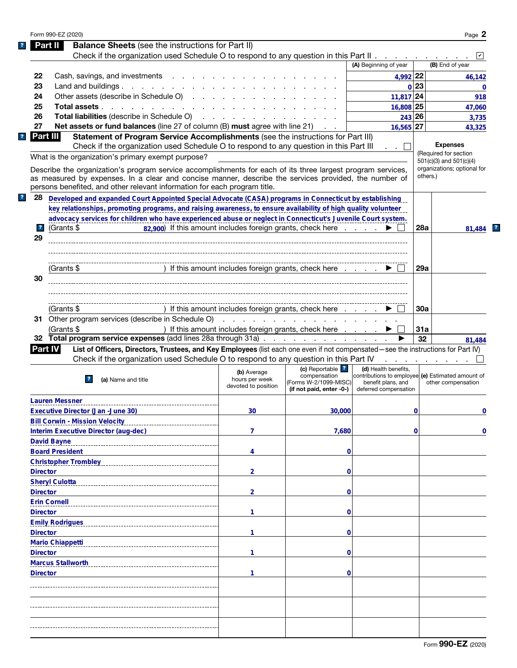| Form 990-EZ (2020)                                                                                                                                                                                                                                                                                                                                                                                                                                                                                     |                                                                                                                                                                                                                                                                                                                                                                                                                                                         |                                                                              |                                                                                       |                                                                                                                          |          | Page 2                                                                                                 |
|--------------------------------------------------------------------------------------------------------------------------------------------------------------------------------------------------------------------------------------------------------------------------------------------------------------------------------------------------------------------------------------------------------------------------------------------------------------------------------------------------------|---------------------------------------------------------------------------------------------------------------------------------------------------------------------------------------------------------------------------------------------------------------------------------------------------------------------------------------------------------------------------------------------------------------------------------------------------------|------------------------------------------------------------------------------|---------------------------------------------------------------------------------------|--------------------------------------------------------------------------------------------------------------------------|----------|--------------------------------------------------------------------------------------------------------|
| Part II                                                                                                                                                                                                                                                                                                                                                                                                                                                                                                | <b>Balance Sheets</b> (see the instructions for Part II)                                                                                                                                                                                                                                                                                                                                                                                                |                                                                              |                                                                                       |                                                                                                                          |          |                                                                                                        |
|                                                                                                                                                                                                                                                                                                                                                                                                                                                                                                        | Check if the organization used Schedule O to respond to any question in this Part II                                                                                                                                                                                                                                                                                                                                                                    |                                                                              |                                                                                       |                                                                                                                          |          |                                                                                                        |
|                                                                                                                                                                                                                                                                                                                                                                                                                                                                                                        |                                                                                                                                                                                                                                                                                                                                                                                                                                                         |                                                                              |                                                                                       | (A) Beginning of year                                                                                                    |          | (B) End of year                                                                                        |
| 22                                                                                                                                                                                                                                                                                                                                                                                                                                                                                                     | Cash, savings, and investments                                                                                                                                                                                                                                                                                                                                                                                                                          |                                                                              |                                                                                       | 4,992 22                                                                                                                 |          | 46,142                                                                                                 |
| 23                                                                                                                                                                                                                                                                                                                                                                                                                                                                                                     | Land and buildings.                                                                                                                                                                                                                                                                                                                                                                                                                                     |                                                                              |                                                                                       |                                                                                                                          | 0 23     | $\bf{0}$                                                                                               |
| 24                                                                                                                                                                                                                                                                                                                                                                                                                                                                                                     | Other assets (describe in Schedule O)                                                                                                                                                                                                                                                                                                                                                                                                                   |                                                                              |                                                                                       | $11,817$ 24                                                                                                              |          | 918                                                                                                    |
| 25                                                                                                                                                                                                                                                                                                                                                                                                                                                                                                     | Total assets                                                                                                                                                                                                                                                                                                                                                                                                                                            |                                                                              |                                                                                       | 16,808 25                                                                                                                |          | 47,060                                                                                                 |
| 26                                                                                                                                                                                                                                                                                                                                                                                                                                                                                                     | Total liabilities (describe in Schedule O) (except of the contract of the contract of the contract of the contract of the contract of the contract of the contract of the contract of the contract of the contract of the cont                                                                                                                                                                                                                          |                                                                              |                                                                                       | 243 26                                                                                                                   |          | 3,735                                                                                                  |
| 27                                                                                                                                                                                                                                                                                                                                                                                                                                                                                                     | <b>Net assets or fund balances</b> (line 27 of column (B) <b>must</b> agree with line 21)                                                                                                                                                                                                                                                                                                                                                               |                                                                              |                                                                                       | 16,565 27                                                                                                                |          | 43,325                                                                                                 |
| Part III                                                                                                                                                                                                                                                                                                                                                                                                                                                                                               | Statement of Program Service Accomplishments (see the instructions for Part III)<br>Check if the organization used Schedule O to respond to any question in this Part III<br>What is the organization's primary exempt purpose?<br>Describe the organization's program service accomplishments for each of its three largest program services,<br>as measured by expenses. In a clear and concise manner, describe the services provided, the number of |                                                                              |                                                                                       | .                                                                                                                        | others.) | <b>Expenses</b><br>(Required for section<br>$501(c)(3)$ and $501(c)(4)$<br>organizations; optional for |
|                                                                                                                                                                                                                                                                                                                                                                                                                                                                                                        | persons benefited, and other relevant information for each program title.                                                                                                                                                                                                                                                                                                                                                                               |                                                                              |                                                                                       |                                                                                                                          |          |                                                                                                        |
| 28                                                                                                                                                                                                                                                                                                                                                                                                                                                                                                     | Developed and expanded Court Appointed Special Advocate (CASA) programs in Connecticut by establishing                                                                                                                                                                                                                                                                                                                                                  |                                                                              |                                                                                       |                                                                                                                          |          |                                                                                                        |
|                                                                                                                                                                                                                                                                                                                                                                                                                                                                                                        | key relationships, promoting programs, and raising awareness, to ensure availability of high quality volunteer                                                                                                                                                                                                                                                                                                                                          |                                                                              |                                                                                       |                                                                                                                          |          |                                                                                                        |
|                                                                                                                                                                                                                                                                                                                                                                                                                                                                                                        | advocacy services for children who have experienced abuse or neglect in Connecticut's Juvenile Court system.                                                                                                                                                                                                                                                                                                                                            |                                                                              |                                                                                       |                                                                                                                          |          |                                                                                                        |
| $\overline{\mathbf{r}}$<br>(Grants \$                                                                                                                                                                                                                                                                                                                                                                                                                                                                  |                                                                                                                                                                                                                                                                                                                                                                                                                                                         | 82,900) If this amount includes foreign grants, check here $\ldots$ $\ldots$ |                                                                                       |                                                                                                                          | 28a      | 81.484                                                                                                 |
| 29                                                                                                                                                                                                                                                                                                                                                                                                                                                                                                     |                                                                                                                                                                                                                                                                                                                                                                                                                                                         |                                                                              |                                                                                       |                                                                                                                          |          |                                                                                                        |
|                                                                                                                                                                                                                                                                                                                                                                                                                                                                                                        |                                                                                                                                                                                                                                                                                                                                                                                                                                                         |                                                                              |                                                                                       |                                                                                                                          |          |                                                                                                        |
|                                                                                                                                                                                                                                                                                                                                                                                                                                                                                                        |                                                                                                                                                                                                                                                                                                                                                                                                                                                         |                                                                              |                                                                                       |                                                                                                                          |          |                                                                                                        |
| (Grants \$                                                                                                                                                                                                                                                                                                                                                                                                                                                                                             |                                                                                                                                                                                                                                                                                                                                                                                                                                                         | ) If this amount includes foreign grants, check here                         |                                                                                       |                                                                                                                          | 29a      |                                                                                                        |
| 30                                                                                                                                                                                                                                                                                                                                                                                                                                                                                                     |                                                                                                                                                                                                                                                                                                                                                                                                                                                         |                                                                              |                                                                                       |                                                                                                                          |          |                                                                                                        |
|                                                                                                                                                                                                                                                                                                                                                                                                                                                                                                        |                                                                                                                                                                                                                                                                                                                                                                                                                                                         |                                                                              |                                                                                       |                                                                                                                          |          |                                                                                                        |
|                                                                                                                                                                                                                                                                                                                                                                                                                                                                                                        |                                                                                                                                                                                                                                                                                                                                                                                                                                                         |                                                                              |                                                                                       |                                                                                                                          |          |                                                                                                        |
| (Grants \$                                                                                                                                                                                                                                                                                                                                                                                                                                                                                             |                                                                                                                                                                                                                                                                                                                                                                                                                                                         | ) If this amount includes foreign grants, check here                         |                                                                                       |                                                                                                                          | 30a      |                                                                                                        |
|                                                                                                                                                                                                                                                                                                                                                                                                                                                                                                        |                                                                                                                                                                                                                                                                                                                                                                                                                                                         |                                                                              |                                                                                       |                                                                                                                          |          |                                                                                                        |
|                                                                                                                                                                                                                                                                                                                                                                                                                                                                                                        |                                                                                                                                                                                                                                                                                                                                                                                                                                                         |                                                                              |                                                                                       |                                                                                                                          |          |                                                                                                        |
|                                                                                                                                                                                                                                                                                                                                                                                                                                                                                                        | 31 Other program services (describe in Schedule O)                                                                                                                                                                                                                                                                                                                                                                                                      |                                                                              |                                                                                       |                                                                                                                          |          |                                                                                                        |
| (Grants \$                                                                                                                                                                                                                                                                                                                                                                                                                                                                                             |                                                                                                                                                                                                                                                                                                                                                                                                                                                         | ) If this amount includes foreign grants, check here                         |                                                                                       |                                                                                                                          | 31a      |                                                                                                        |
|                                                                                                                                                                                                                                                                                                                                                                                                                                                                                                        | 32 Total program service expenses (add lines 28a through 31a)                                                                                                                                                                                                                                                                                                                                                                                           |                                                                              |                                                                                       |                                                                                                                          | 32       |                                                                                                        |
|                                                                                                                                                                                                                                                                                                                                                                                                                                                                                                        | List of Officers, Directors, Trustees, and Key Employees (list each one even if not compensated—see the instructions for Part IV)                                                                                                                                                                                                                                                                                                                       |                                                                              |                                                                                       |                                                                                                                          |          |                                                                                                        |
|                                                                                                                                                                                                                                                                                                                                                                                                                                                                                                        | Check if the organization used Schedule O to respond to any question in this Part IV                                                                                                                                                                                                                                                                                                                                                                    |                                                                              |                                                                                       | المتعاطف والمتعاطف                                                                                                       |          |                                                                                                        |
| 2                                                                                                                                                                                                                                                                                                                                                                                                                                                                                                      | (a) Name and title                                                                                                                                                                                                                                                                                                                                                                                                                                      | (b) Average<br>hours per week<br>devoted to position                         | (c) Reportable ?<br>compensation<br>(Forms W-2/1099-MISC)<br>(if not paid, enter -0-) | (d) Health benefits,<br>contributions to employee (e) Estimated amount of<br>benefit plans, and<br>deferred compensation |          | other compensation                                                                                     |
|                                                                                                                                                                                                                                                                                                                                                                                                                                                                                                        |                                                                                                                                                                                                                                                                                                                                                                                                                                                         |                                                                              |                                                                                       |                                                                                                                          |          |                                                                                                        |
|                                                                                                                                                                                                                                                                                                                                                                                                                                                                                                        |                                                                                                                                                                                                                                                                                                                                                                                                                                                         | 30                                                                           | 30,000                                                                                |                                                                                                                          | 0        |                                                                                                        |
|                                                                                                                                                                                                                                                                                                                                                                                                                                                                                                        |                                                                                                                                                                                                                                                                                                                                                                                                                                                         |                                                                              |                                                                                       |                                                                                                                          |          |                                                                                                        |
|                                                                                                                                                                                                                                                                                                                                                                                                                                                                                                        |                                                                                                                                                                                                                                                                                                                                                                                                                                                         | 7                                                                            | 7,680                                                                                 |                                                                                                                          | 0        |                                                                                                        |
|                                                                                                                                                                                                                                                                                                                                                                                                                                                                                                        |                                                                                                                                                                                                                                                                                                                                                                                                                                                         |                                                                              |                                                                                       |                                                                                                                          |          |                                                                                                        |
|                                                                                                                                                                                                                                                                                                                                                                                                                                                                                                        |                                                                                                                                                                                                                                                                                                                                                                                                                                                         | 4                                                                            | 0                                                                                     |                                                                                                                          |          |                                                                                                        |
|                                                                                                                                                                                                                                                                                                                                                                                                                                                                                                        |                                                                                                                                                                                                                                                                                                                                                                                                                                                         |                                                                              |                                                                                       |                                                                                                                          |          |                                                                                                        |
|                                                                                                                                                                                                                                                                                                                                                                                                                                                                                                        |                                                                                                                                                                                                                                                                                                                                                                                                                                                         | $\overline{2}$                                                               | 0                                                                                     |                                                                                                                          |          |                                                                                                        |
|                                                                                                                                                                                                                                                                                                                                                                                                                                                                                                        |                                                                                                                                                                                                                                                                                                                                                                                                                                                         |                                                                              |                                                                                       |                                                                                                                          |          |                                                                                                        |
|                                                                                                                                                                                                                                                                                                                                                                                                                                                                                                        |                                                                                                                                                                                                                                                                                                                                                                                                                                                         |                                                                              |                                                                                       |                                                                                                                          |          |                                                                                                        |
|                                                                                                                                                                                                                                                                                                                                                                                                                                                                                                        |                                                                                                                                                                                                                                                                                                                                                                                                                                                         | $\overline{2}$                                                               | 0                                                                                     |                                                                                                                          |          |                                                                                                        |
|                                                                                                                                                                                                                                                                                                                                                                                                                                                                                                        |                                                                                                                                                                                                                                                                                                                                                                                                                                                         |                                                                              |                                                                                       |                                                                                                                          |          |                                                                                                        |
|                                                                                                                                                                                                                                                                                                                                                                                                                                                                                                        |                                                                                                                                                                                                                                                                                                                                                                                                                                                         | 1                                                                            | 0                                                                                     |                                                                                                                          |          |                                                                                                        |
|                                                                                                                                                                                                                                                                                                                                                                                                                                                                                                        |                                                                                                                                                                                                                                                                                                                                                                                                                                                         |                                                                              |                                                                                       |                                                                                                                          |          |                                                                                                        |
|                                                                                                                                                                                                                                                                                                                                                                                                                                                                                                        |                                                                                                                                                                                                                                                                                                                                                                                                                                                         | 1                                                                            | 0                                                                                     |                                                                                                                          |          |                                                                                                        |
|                                                                                                                                                                                                                                                                                                                                                                                                                                                                                                        |                                                                                                                                                                                                                                                                                                                                                                                                                                                         |                                                                              |                                                                                       |                                                                                                                          |          |                                                                                                        |
|                                                                                                                                                                                                                                                                                                                                                                                                                                                                                                        |                                                                                                                                                                                                                                                                                                                                                                                                                                                         | 1                                                                            | 0                                                                                     |                                                                                                                          |          |                                                                                                        |
|                                                                                                                                                                                                                                                                                                                                                                                                                                                                                                        |                                                                                                                                                                                                                                                                                                                                                                                                                                                         |                                                                              |                                                                                       |                                                                                                                          |          |                                                                                                        |
|                                                                                                                                                                                                                                                                                                                                                                                                                                                                                                        |                                                                                                                                                                                                                                                                                                                                                                                                                                                         | 1                                                                            | 0                                                                                     |                                                                                                                          |          | 81,484<br>0<br>0                                                                                       |
|                                                                                                                                                                                                                                                                                                                                                                                                                                                                                                        |                                                                                                                                                                                                                                                                                                                                                                                                                                                         |                                                                              |                                                                                       |                                                                                                                          |          |                                                                                                        |
|                                                                                                                                                                                                                                                                                                                                                                                                                                                                                                        |                                                                                                                                                                                                                                                                                                                                                                                                                                                         |                                                                              |                                                                                       |                                                                                                                          |          |                                                                                                        |
|                                                                                                                                                                                                                                                                                                                                                                                                                                                                                                        |                                                                                                                                                                                                                                                                                                                                                                                                                                                         |                                                                              |                                                                                       |                                                                                                                          |          |                                                                                                        |
|                                                                                                                                                                                                                                                                                                                                                                                                                                                                                                        |                                                                                                                                                                                                                                                                                                                                                                                                                                                         |                                                                              |                                                                                       |                                                                                                                          |          |                                                                                                        |
|                                                                                                                                                                                                                                                                                                                                                                                                                                                                                                        |                                                                                                                                                                                                                                                                                                                                                                                                                                                         |                                                                              |                                                                                       |                                                                                                                          |          |                                                                                                        |
| <b>Part IV</b><br><b>Lauren Messner</b><br><b>Executive Director (Jan -June 30)</b><br><b>Bill Corwin - Mission Velocity</b><br>Interim Executive Director (aug-dec)<br><b>David Bayne</b><br><b>Board President</b><br><b>Christopher Trombley</b><br><b>Director</b><br><b>Sheryl Culotta</b><br><b>Director</b><br><b>Erin Cornell</b><br><b>Director</b><br><b>Emily Rodrigues</b><br><b>Director</b><br><b>Mario Chiappetti</b><br><b>Director</b><br><b>Marcus Stallworth</b><br><b>Director</b> |                                                                                                                                                                                                                                                                                                                                                                                                                                                         |                                                                              |                                                                                       |                                                                                                                          |          |                                                                                                        |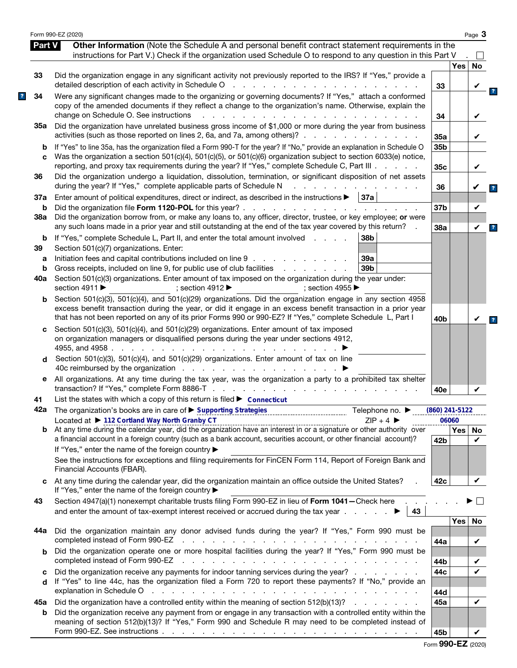|               | Form 990-EZ (2020)                                                                                                                                                                                                                                                                                                                               |                  |            | Page 3       |
|---------------|--------------------------------------------------------------------------------------------------------------------------------------------------------------------------------------------------------------------------------------------------------------------------------------------------------------------------------------------------|------------------|------------|--------------|
| <b>Part V</b> | Other Information (Note the Schedule A and personal benefit contract statement requirements in the<br>instructions for Part V.) Check if the organization used Schedule O to respond to any question in this Part V                                                                                                                              |                  |            | $\mathsf{L}$ |
|               |                                                                                                                                                                                                                                                                                                                                                  |                  | <b>Yes</b> | No           |
| 33            | Did the organization engage in any significant activity not previously reported to the IRS? If "Yes," provide a<br>detailed description of each activity in Schedule O<br>and a contract of the contract of the                                                                                                                                  | 33               |            | V            |
| 34            | Were any significant changes made to the organizing or governing documents? If "Yes," attach a conformed<br>copy of the amended documents if they reflect a change to the organization's name. Otherwise, explain the<br>change on Schedule O. See instructions<br>$\mathbf{r}$                                                                  | 34               |            | V            |
| 35а           | Did the organization have unrelated business gross income of \$1,000 or more during the year from business<br>activities (such as those reported on lines 2, 6a, and 7a, among others)?                                                                                                                                                          | 35a              |            | V            |
| b<br>C        | If "Yes" to line 35a, has the organization filed a Form 990-T for the year? If "No," provide an explanation in Schedule O<br>Was the organization a section 501(c)(4), 501(c)(5), or 501(c)(6) organization subject to section 6033(e) notice,<br>reporting, and proxy tax requirements during the year? If "Yes," complete Schedule C, Part III | 35b<br>35c       |            | V            |
| 36            | Did the organization undergo a liquidation, dissolution, termination, or significant disposition of net assets<br>during the year? If "Yes," complete applicable parts of Schedule N                                                                                                                                                             | 36               |            |              |
| 37a           | Enter amount of political expenditures, direct or indirect, as described in the instructions $\blacktriangleright$   37a                                                                                                                                                                                                                         |                  |            |              |
| b             | Did the organization file Form 1120-POL for this year?.<br>the second contract of the second contract of the second                                                                                                                                                                                                                              | 37b              |            | V            |
| 38a           | Did the organization borrow from, or make any loans to, any officer, director, trustee, or key employee; or were<br>any such loans made in a prior year and still outstanding at the end of the tax year covered by this return?                                                                                                                 | 38a              |            | V            |
| b<br>39       | If "Yes," complete Schedule L, Part II, and enter the total amount involved<br>38b<br>Section 501(c)(7) organizations. Enter:                                                                                                                                                                                                                    |                  |            |              |
| a             | Initiation fees and capital contributions included on line 9<br>39a                                                                                                                                                                                                                                                                              |                  |            |              |
| b             | Gross receipts, included on line 9, for public use of club facilities<br>39 <sub>b</sub><br>and a state of the state of the                                                                                                                                                                                                                      |                  |            |              |
| 40a           | Section 501(c)(3) organizations. Enter amount of tax imposed on the organization during the year under:<br>section 4911 $\blacktriangleright$<br>: section 4912 $\blacktriangleright$<br>: section 4955 $\blacktriangleright$                                                                                                                    |                  |            |              |
| b             | Section 501(c)(3), 501(c)(4), and 501(c)(29) organizations. Did the organization engage in any section 4958<br>excess benefit transaction during the year, or did it engage in an excess benefit transaction in a prior year<br>that has not been reported on any of its prior Forms 990 or 990-EZ? If "Yes," complete Schedule L, Part I        | 40 <sub>b</sub>  |            | V            |
| c             | Section 501(c)(3), 501(c)(4), and 501(c)(29) organizations. Enter amount of tax imposed<br>on organization managers or disqualified persons during the year under sections 4912,<br>4955, and 4958.<br>the contract of the contract of the                                                                                                       |                  |            |              |
| d             | Section 501(c)(3), 501(c)(4), and 501(c)(29) organizations. Enter amount of tax on line<br>40c reimbursed by the organization                                                                                                                                                                                                                    |                  |            |              |
| е             | All organizations. At any time during the tax year, was the organization a party to a prohibited tax shelter<br>transaction? If "Yes," complete Form 8886-T<br>design and a state of the state of the                                                                                                                                            | 40e              |            | V            |
| 41            | List the states with which a copy of this return is filed $\blacktriangleright$ Connecticut                                                                                                                                                                                                                                                      |                  |            |              |
|               | 42a The organization's books are in care of ► Supporting Strategies<br>Telephone no. $\blacktriangleright$                                                                                                                                                                                                                                       | $(860)$ 241-5122 |            |              |
|               | Located at ▶ 112 Cortland Way North Granby CT<br>$ZIP + 4$<br>Located at $\triangleright$ 112 Cortland Way North Granby CT<br>At any time during the calendar year, did the organization have an interest in or a signature or other authority over                                                                                              |                  | 06060      |              |
| b             | a financial account in a foreign country (such as a bank account, securities account, or other financial account)?<br>If "Yes," enter the name of the foreign country ▶                                                                                                                                                                          | 42 <sub>b</sub>  | <b>Yes</b> | No<br>V      |
|               | See the instructions for exceptions and filing requirements for FinCEN Form 114, Report of Foreign Bank and<br>Financial Accounts (FBAR).                                                                                                                                                                                                        |                  |            |              |
| c             | At any time during the calendar year, did the organization maintain an office outside the United States?<br>If "Yes," enter the name of the foreign country ▶                                                                                                                                                                                    | 42c              |            | V            |
| 43            | Section 4947(a)(1) nonexempt charitable trusts filing Form 990-EZ in lieu of Form 1041-Check here .<br>and enter the amount of tax-exempt interest received or accrued during the tax year $\ldots$ .<br>43                                                                                                                                      |                  |            |              |
|               |                                                                                                                                                                                                                                                                                                                                                  |                  | Yes        | No           |
| 44а           | Did the organization maintain any donor advised funds during the year? If "Yes," Form 990 must be<br>completed instead of Form 990-EZ<br>the contract of the contract of the contract of the contract of the contract of the contract of the contract of                                                                                         | 44a              |            | V            |
| b             | Did the organization operate one or more hospital facilities during the year? If "Yes," Form 990 must be<br>completed instead of Form 990-EZ                                                                                                                                                                                                     |                  |            |              |
|               | and a complete the control of the complete state of the complete state of the complete state of the complete state of the complete state of the complete state of the complete state of the complete state of the complete sta<br>Did the organization receive any payments for indoor tanning services during the year?                         | 44b<br>44c       |            | V<br>V       |
| c<br>d        | If "Yes" to line 44c, has the organization filed a Form 720 to report these payments? If "No," provide an<br>explanation in Schedule O<br>والمتعاون والمتعاون والمتعاون والمتعاون والمتعاون والمتعاون والمتعاون والمتعاون والمتعاون والمتعاون                                                                                                    |                  |            |              |
| 45а           | Did the organization have a controlled entity within the meaning of section 512(b)(13)?                                                                                                                                                                                                                                                          | 44d<br>45а       |            | V            |
| b             | Did the organization receive any payment from or engage in any transaction with a controlled entity within the<br>meaning of section 512(b)(13)? If "Yes," Form 990 and Schedule R may need to be completed instead of                                                                                                                           |                  |            |              |
|               |                                                                                                                                                                                                                                                                                                                                                  | 45b              |            | V            |

|  |  |  | Form 990-EZ (2020) |
|--|--|--|--------------------|
|--|--|--|--------------------|